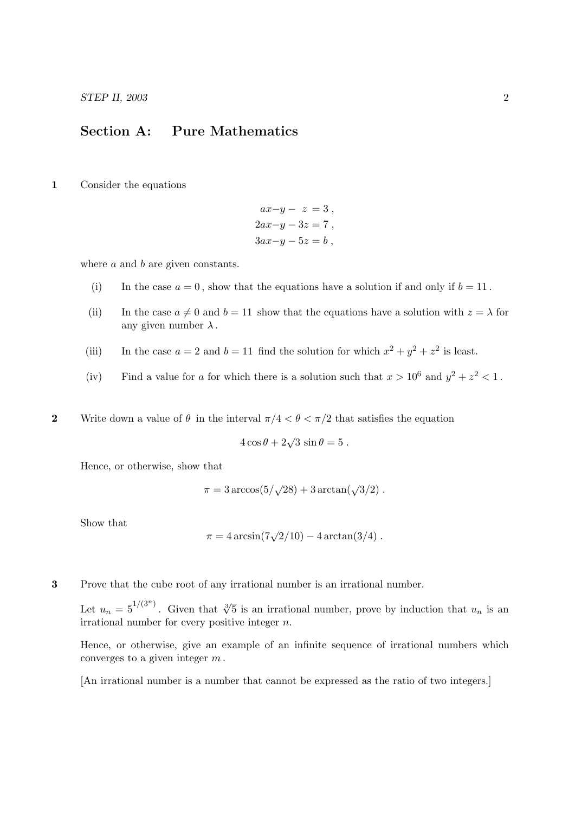STEP II, 2003 2

## Section A: Pure Mathematics

1 Consider the equations

$$
ax-y-z=3,
$$
  
\n
$$
2ax-y-3z=7,
$$
  
\n
$$
3ax-y-5z=b,
$$

where  $a$  and  $b$  are given constants.

- (i) In the case  $a = 0$ , show that the equations have a solution if and only if  $b = 11$ .
- (ii) In the case  $a \neq 0$  and  $b = 11$  show that the equations have a solution with  $z = \lambda$  for any given number  $\lambda$ .
- (iii) In the case  $a = 2$  and  $b = 11$  find the solution for which  $x^2 + y^2 + z^2$  is least.
- (iv) Find a value for a for which there is a solution such that  $x > 10^6$  and  $y^2 + z^2 < 1$ .
- 2 Write down a value of  $\theta$  in the interval  $\pi/4 < \theta < \pi/2$  that satisfies the equation

$$
4\cos\theta + 2\sqrt{3}\,\sin\theta = 5\,.
$$

Hence, or otherwise, show that

$$
\pi = 3 \arccos(5/\sqrt{28}) + 3 \arctan(\sqrt{3}/2).
$$

Show that

$$
\pi = 4 \arcsin(7\sqrt{2}/10) - 4 \arctan(3/4).
$$

3 Prove that the cube root of any irrational number is an irrational number.

Let  $u_n = 5^{1/(3^n)}$ . Given that  $\sqrt[3]{5}$  is an irrational number, prove by induction that  $u_n$  is an irrational number for every positive integer  $n$ .

Hence, or otherwise, give an example of an infinite sequence of irrational numbers which converges to a given integer  $m$ .

[An irrational number is a number that cannot be expressed as the ratio of two integers.]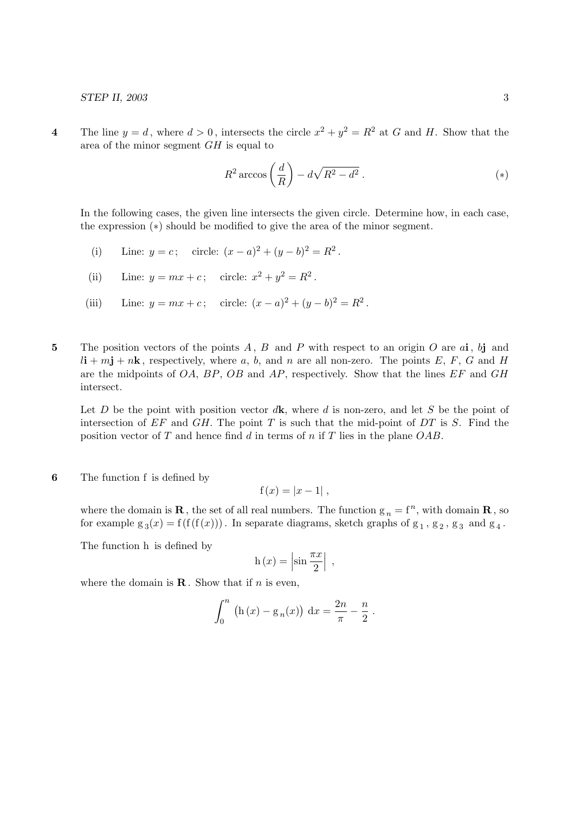4 The line  $y = d$ , where  $d > 0$ , intersects the circle  $x^2 + y^2 = R^2$  at G and H. Show that the area of the minor segment GH is equal to

$$
R^2 \arccos\left(\frac{d}{R}\right) - d\sqrt{R^2 - d^2} \ . \tag{(*)}
$$

In the following cases, the given line intersects the given circle. Determine how, in each case, the expression (∗) should be modified to give the area of the minor segment.

- (i) Line:  $y = c$ ; circle:  $(x a)^2 + (y b)^2 = R^2$ .
- (ii) Line:  $y = mx + c$ ; circle:  $x^2 + y^2 = R^2$ .
- (iii) Line:  $y = mx + c$ ; circle:  $(x a)^2 + (y b)^2 = R^2$ .
- 5 The position vectors of the points  $A, B$  and  $P$  with respect to an origin  $O$  are  $a$ **i**,  $b$ **j** and  $l\mathbf{i} + m\mathbf{j} + n\mathbf{k}$ , respectively, where a, b, and n are all non-zero. The points E, F, G and H are the midpoints of  $OA$ ,  $BP$ ,  $OB$  and  $AP$ , respectively. Show that the lines  $EF$  and  $GH$ intersect.

Let D be the point with position vector  $d\mathbf{k}$ , where d is non-zero, and let S be the point of intersection of  $EF$  and  $GH$ . The point T is such that the mid-point of  $DT$  is S. Find the position vector of T and hence find d in terms of n if T lies in the plane  $OAB$ .

6 The function f is defined by

$$
f(x) = |x - 1|,
$$

where the domain is **R**, the set of all real numbers. The function  $g_n = f^n$ , with domain **R**, so for example  $g_3(x) = f(f(f(x)))$ . In separate diagrams, sketch graphs of  $g_1, g_2, g_3$  and  $g_4$ .

The function h is defined by

$$
h(x) = \left| \sin \frac{\pi x}{2} \right| ,
$$

where the domain is  $\mathbf R$ . Show that if *n* is even,

$$
\int_0^n (h(x) - g_n(x)) dx = \frac{2n}{\pi} - \frac{n}{2}.
$$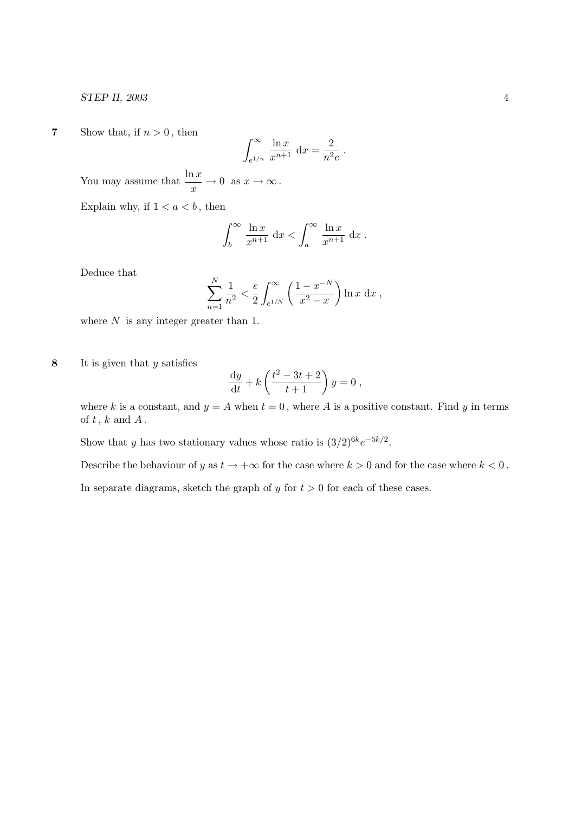STEP II, 2003 4

7 Show that, if  $n > 0$ , then

$$
\int_{e^{1/n}}^{\infty} \frac{\ln x}{x^{n+1}} dx = \frac{2}{n^2 e}.
$$

You may assume that  $\frac{\ln x}{x} \to 0$  as  $x \to \infty$ .

Explain why, if  $1 < a < b$ , then

$$
\int_b^\infty \frac{\ln x}{x^{n+1}} dx < \int_a^\infty \frac{\ln x}{x^{n+1}} dx.
$$

Deduce that

$$
\sum_{n=1}^{N} \frac{1}{n^2} < \frac{e}{2} \int_{e^{1/N}}^{\infty} \left( \frac{1 - x^{-N}}{x^2 - x} \right) \ln x \, dx \,,
$$

where  $N$  is any integer greater than 1.

8 It is given that  $y$  satisfies

$$
\frac{\mathrm{d}y}{\mathrm{d}t} + k \left( \frac{t^2 - 3t + 2}{t+1} \right) y = 0 ,
$$

where k is a constant, and  $y = A$  when  $t = 0$ , where A is a positive constant. Find y in terms of  $t$ ,  $k$  and  $A$ .

Show that y has two stationary values whose ratio is  $(3/2)^{6k}e^{-5k/2}$ .

Describe the behaviour of y as  $t \to +\infty$  for the case where  $k > 0$  and for the case where  $k < 0$ .

In separate diagrams, sketch the graph of  $y$  for  $t > 0$  for each of these cases.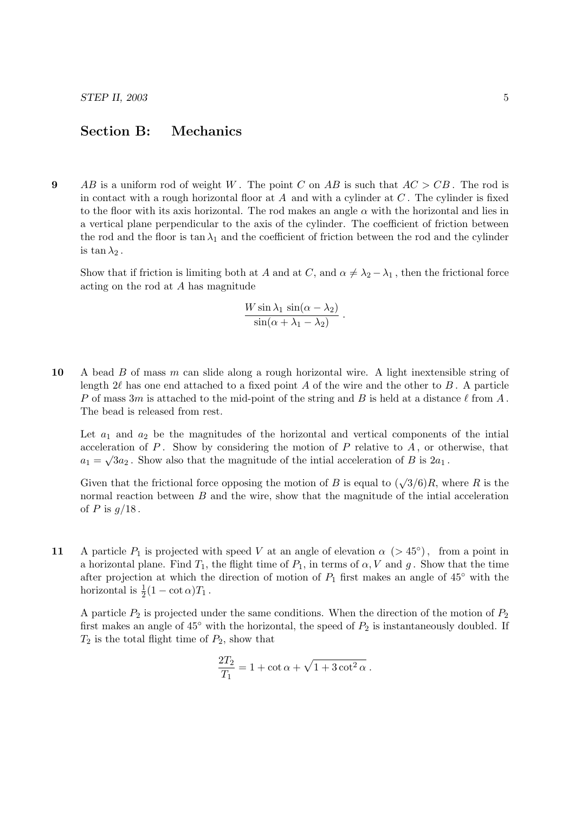## Section B: Mechanics

9 AB is a uniform rod of weight W. The point C on AB is such that  $AC > CB$ . The rod is in contact with a rough horizontal floor at A and with a cylinder at  $C$ . The cylinder is fixed to the floor with its axis horizontal. The rod makes an angle  $\alpha$  with the horizontal and lies in a vertical plane perpendicular to the axis of the cylinder. The coefficient of friction between the rod and the floor is tan  $\lambda_1$  and the coefficient of friction between the rod and the cylinder is  $\tan \lambda_2$ .

Show that if friction is limiting both at A and at C, and  $\alpha \neq \lambda_2 - \lambda_1$ , then the frictional force acting on the rod at A has magnitude

$$
\frac{W\sin\lambda_1\,\sin(\alpha-\lambda_2)}{\sin(\alpha+\lambda_1-\lambda_2)}\;.
$$

10 A bead B of mass m can slide along a rough horizontal wire. A light inextensible string of length  $2\ell$  has one end attached to a fixed point A of the wire and the other to B. A particle P of mass 3m is attached to the mid-point of the string and B is held at a distance  $\ell$  from A. The bead is released from rest.

Let  $a_1$  and  $a_2$  be the magnitudes of the horizontal and vertical components of the intial acceleration of P. Show by considering the motion of P relative to A, or otherwise, that  $a_1 = \sqrt{3}a_2$ . Show also that the magnitude of the initial acceleration of B is  $2a_1$ .

Given that the frictional force opposing the motion of B is equal to  $(\sqrt{3}/6)R$ , where R is the normal reaction between  $B$  and the wire, show that the magnitude of the intial acceleration of P is  $g/18$ .

11 A particle  $P_1$  is projected with speed V at an angle of elevation  $\alpha$  (> 45°), from a point in a horizontal plane. Find  $T_1$ , the flight time of  $P_1$ , in terms of  $\alpha$ , V and g. Show that the time after projection at which the direction of motion of  $P_1$  first makes an angle of 45° with the horizontal is  $\frac{1}{2}(1 - \cot \alpha)T_1$ .

A particle  $P_2$  is projected under the same conditions. When the direction of the motion of  $P_2$ first makes an angle of  $45^\circ$  with the horizontal, the speed of  $P_2$  is instantaneously doubled. If  $T_2$  is the total flight time of  $P_2$ , show that

$$
\frac{2T_2}{T_1} = 1 + \cot \alpha + \sqrt{1 + 3\cot^2 \alpha}.
$$